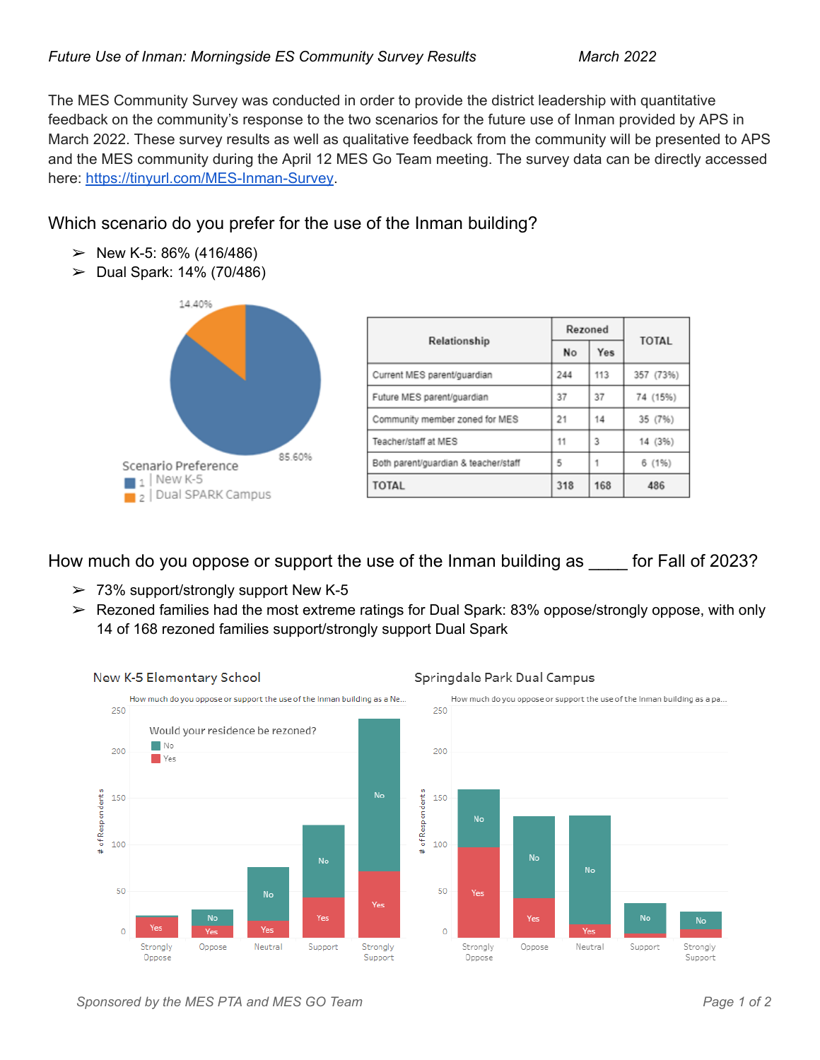The MES Community Survey was conducted in order to provide the district leadership with quantitative feedback on the community's response to the two scenarios for the future use of Inman provided by APS in March 2022. These survey results as well as qualitative feedback from the community will be presented to APS and the MES community during the April 12 MES Go Team meeting. The survey data can be directly accessed here: <https://tinyurl.com/MES-Inman-Survey>.

# Which scenario do you prefer for the use of the Inman building?

- $\geq$  New K-5: 86% (416/486)
- $>$  Dual Spark: 14% (70/486)



| Relationship                         | Rezoned |     | <b>TOTAL</b> |  |
|--------------------------------------|---------|-----|--------------|--|
|                                      | No      | Yes |              |  |
| Current MES parent/quardian          | 244     | 113 | 357 (73%)    |  |
| Future MES parent/guardian           | 37      | 37  | 74 (15%)     |  |
| Community member zoned for MES       | 21      | 14  | 35 (7%)      |  |
| Teacher/staff at MES                 | 11      | 3   | 14 (3%)      |  |
| Both parent/guardian & teacher/staff | 5       | 1   | 6 (1%)       |  |
| TOTAL                                | 318     | 168 | 486          |  |

How much do you oppose or support the use of the Inman building as \_\_\_\_ for Fall of 2023?

- $> 73\%$  support/strongly support New K-5
- ➢ Rezoned families had the most extreme ratings for Dual Spark: 83% oppose/strongly oppose, with only 14 of 168 rezoned families support/strongly support Dual Spark



### Springdale Park Dual Campus